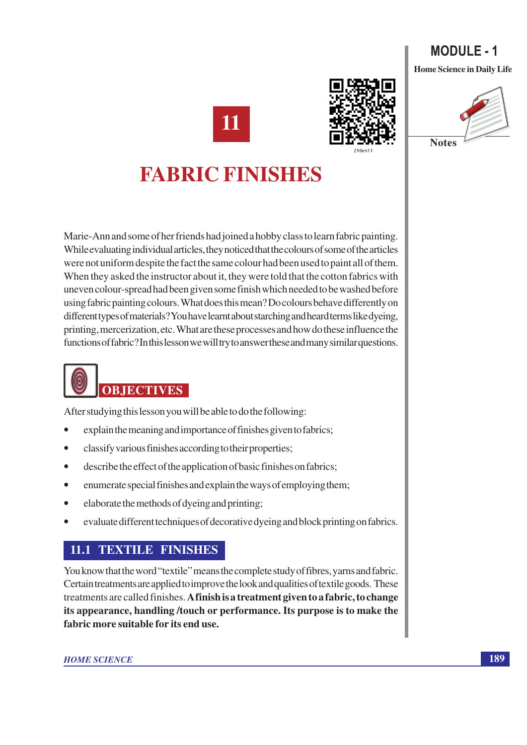### **MODULE - 1 Home Science in Daily Life**

**Notes** 

11



# **FABRIC FINISHES**

Marie-Ann and some of her friends had joined a hobby class to learn fabric painting. While evaluating individual articles, they noticed that the colours of some of the articles were not uniform despite the fact the same colour had been used to paint all of them. When they asked the instructor about it, they were told that the cotton fabrics with uneven colour-spread had been given some finish which needed to be washed before using fabric painting colours. What does this mean? Do colours behave differently on different types of materials? You have learnt about starching and heard terms like dyeing, printing, mercerization, etc. What are these processes and how do these influence the functions of fabric? In this lesson we will try to answer these and many similar questions.

# **OBJECTIVES**

After studying this lesson you will be able to do the following:

- explain the meaning and importance of finishes given to fabrics;
- classify various finishes according to their properties;  $\bullet$
- describe the effect of the application of basic finishes on fabrics;  $\bullet$
- enumerate special finishes and explain the ways of employing them;  $\bullet$
- elaborate the methods of dyeing and printing;  $\bullet$
- evaluate different techniques of decorative dyeing and block printing on fabrics.

### **11.1 TEXTILE FINISHES**

You know that the word "textile" means the complete study of fibres, yarns and fabric. Certain treatments are applied to improve the look and qualities of textile goods. These treatments are called finishes. A finish is a treatment given to a fabric, to change its appearance, handling/touch or performance. Its purpose is to make the fabric more suitable for its end use.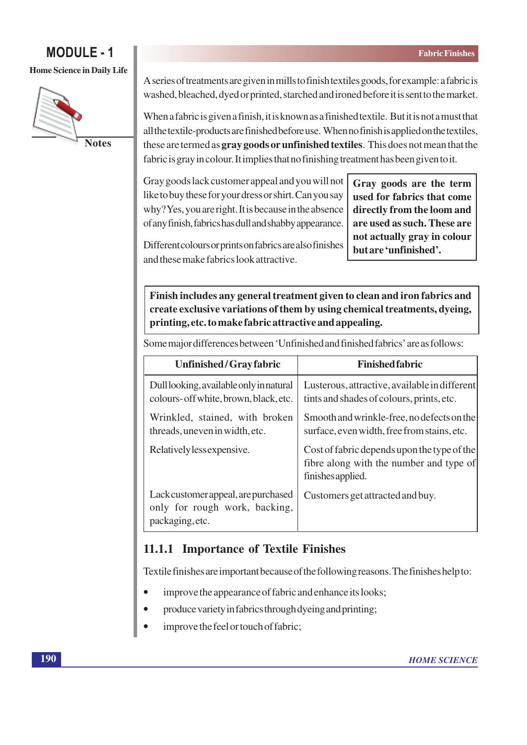#### **Home Science in Daily Life**



A series of treatments are given in mills to finish textiles goods, for example: a fabric is washed, bleached, dyed or printed, starched and ironed before it is sent to the market.

When a fabric is given a finish, it is known as a finished textile. But it is not a must that all the textile-products are finished before use. When no finish is applied on the textiles, these are termed as **gray goods or unfinished textiles**. This does not mean that the fabric is gray in colour. It implies that no finishing treatment has been given to it.

Gray goods lack customer appeal and you will not like to buy these for your dress or shirt. Can you say why? Yes, you are right. It is because in the absence of any finish, fabrics has dull and shabby appearance.

Gray goods are the term used for fabrics that come directly from the loom and are used as such. These are not actually gray in colour but are 'unfinished'.

Different colours or prints on fabrics are also finishes and these make fabrics look attractive

Finish includes any general treatment given to clean and iron fabrics and create exclusive variations of them by using chemical treatments, dyeing, printing, etc. to make fabric attractive and appealing.

Some major differences between 'Unfinished and finished fabrics' are as follows:

| Unfinished/Gray fabric                                                                  | <b>Finished fabric</b>                                                                                      |
|-----------------------------------------------------------------------------------------|-------------------------------------------------------------------------------------------------------------|
| Dull looking, available only in natural<br>colours- off white, brown, black, etc.       | Lusterous, attractive, available in different<br>tints and shades of colours, prints, etc.                  |
| Wrinkled, stained, with broken<br>threads, uneven in width, etc.                        | Smooth and wrinkle-free, no defects on the<br>surface, even width, free from stains, etc.                   |
| Relatively less expensive.                                                              | Cost of fabric depends upon the type of the<br>fibre along with the number and type of<br>finishes applied. |
| Lack customer appeal, are purchased<br>only for rough work, backing,<br>packaging, etc. | Customers get attracted and buy.                                                                            |

### 11.1.1 Importance of Textile Finishes

Textile finishes are important because of the following reasons. The finishes help to:

- improve the appearance of fabric and enhance its looks;  $\bullet$
- produce variety in fabrics through dyeing and printing;
- improve the feel or touch of fabric;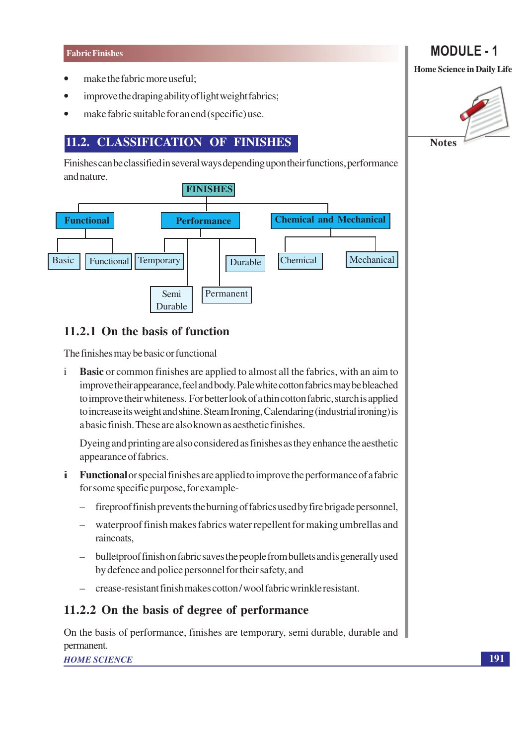- make the fabric more useful;
- improve the draping ability of light weight fabrics;  $\bullet$
- make fabric suitable for an end (specific) use.

### 11.2. CLASSIFICATION OF FINISHES

Finishes can be classified in several ways depending upon their functions, performance and nature.



### 11.2.1 On the basis of function

The finishes may be basic or functional

**Basic** or common finishes are applied to almost all the fabrics, with an aim to  $\mathbf{i}$ improve their appearance, feel and body. Pale white cotton fabrics may be bleached to improve their whiteness. For better look of a thin cotton fabric, starch is applied to increase its weight and shine. Steam Ironing, Calendaring (industrial ironing) is a basic finish. These are also known as aesthetic finishes.

Dyeing and printing are also considered as finishes as they enhance the aesthetic appearance of fabrics.

- **i** Functional or special finishes are applied to improve the performance of a fabric for some specific purpose, for example-
	- $\equiv$ fireproof finish prevents the burning of fabrics used by fire brigade personnel,
	- waterproof finish makes fabrics water repellent for making umbrellas and raincoats.
	- bullet proof finish on fabric saves the people from bullets and is generally used by defence and police personnel for their safety, and
	- crease-resistant finish makes cotton/wool fabric wrinkle resistant.

### 11.2.2 On the basis of degree of performance

On the basis of performance, finishes are temporary, semi durable, durable and permanent.

**HOME SCIENCE** 

## **MODULE - 1**

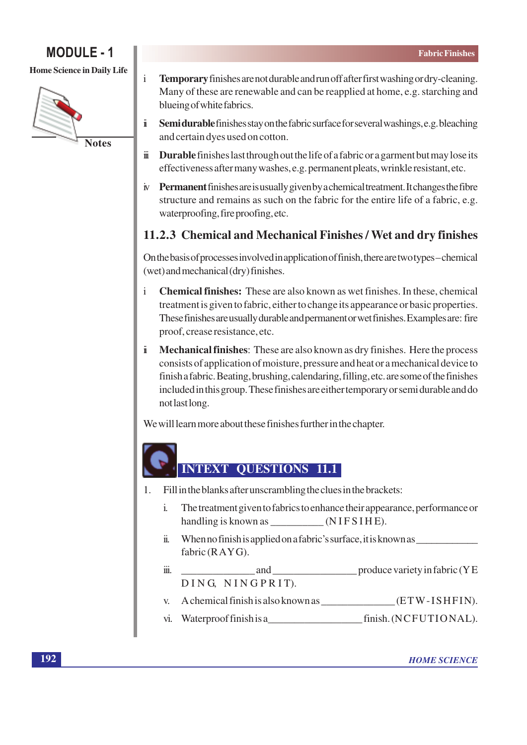**Home Science in Daily Life** 



- $\mathbf{i}$ Temporary finishes are not durable and run off after first washing or dry-cleaning. Many of these are renewable and can be reapplied at home, e.g. starching and blueing of white fabrics.
- $\ddot{\mathbf{1}}$ Semi durable finishes stay on the fabric surface for several washings, e.g. bleaching and certain dyes used on cotton.
- **Durable** finishes last through out the life of a fabric or a garment but may lose its iï effectiveness after many washes, e.g. permanent pleats, wrinkle resistant, etc.
- iv Permanent finishes are is usually given by a chemical treatment. It changes the fibre structure and remains as such on the fabric for the entire life of a fabric, e.g. waterproofing, fire proofing, etc.

### 11.2.3 Chemical and Mechanical Finishes / Wet and dry finishes

On the basis of processes involved in application of finish, there are two types-chemical (wet) and mechanical (dry) finishes.

- $\mathbf{i}$ Chemical finishes: These are also known as wet finishes. In these, chemical treatment is given to fabric, either to change its appearance or basic properties. These finishes are usually durable and permanent or wet finishes. Examples are: fire proof, crease resistance, etc.
- Mechanical finishes: These are also known as dry finishes. Here the process  $\ddot{\mathbf{I}}$ consists of application of moisture, pressure and heat or a mechanical device to finish a fabric. Beating, brushing, calendaring, filling, etc. are some of the finishes included in this group. These finishes are either temporary or semi durable and do not last long.

We will learn more about these finishes further in the chapter.

### **INTEXT OUESTIONS 11.1**

- Fill in the blanks after unscrambling the clues in the brackets: 1.
	- The treatment given to fabrics to enhance their appearance, performance or  $\mathbf{i}$ . handling is known as \_\_\_\_\_\_\_\_\_\_\_\_(NIFSIHE).
	- When no finish is applied on a fabric's surface, it is known as  $\ddot{\mathbf{n}}$ . fabric  $(RAYG)$ .
	- $\dddot{\mathbf{m}}$ . DING NINGPRIT).
	-
	- vi. Waterproof finish is a finish. (NCFUTIONAL).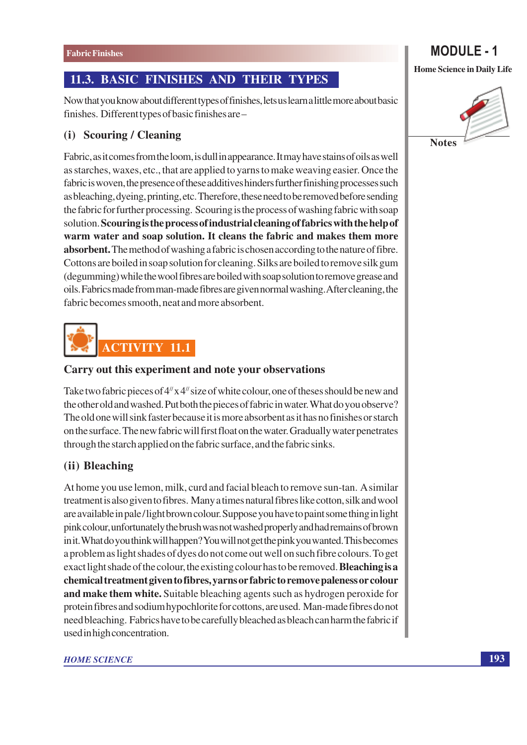### 11.3. BASIC FINISHES AND THEIR TYPES

Now that you know about different types of finishes, lets us learn a little more about basic finishes. Different types of basic finishes are -

### (i) Scouring / Cleaning

Fabric, as it comes from the loom, is dull in appearance. It may have stains of oils as well as starches, waxes, etc., that are applied to yarns to make weaving easier. Once the fabric is woven, the presence of these additives hinders further finishing processes such as bleaching, dyeing, printing, etc. Therefore, these need to be removed before sending the fabric for further processing. Scouring is the process of washing fabric with soap solution. Scouring is the process of industrial cleaning of fabrics with the help of warm water and soap solution. It cleans the fabric and makes them more **absorbent.** The method of washing a fabric is chosen according to the nature of fibre. Cottons are boiled in soap solution for cleaning. Silks are boiled to remove silk gum (degumming) while the wool fibres are boiled with soap solution to remove grease and oils. Fabrics made from man-made fibres are given normal washing. After cleaning, the fabric becomes smooth, neat and more absorbent.



#### Carry out this experiment and note your observations

Take two fabric pieces of  $4^{\prime\prime}$  x  $4^{\prime\prime}$  size of white colour, one of theses should be new and the other old and washed. Put both the pieces of fabric in water. What do you observe? The old one will sink faster because it is more absorbent as it has no finishes or starch on the surface. The new fabric will first float on the water. Gradually water penetrates through the starch applied on the fabric surface, and the fabric sinks.

### (ii) Bleaching

At home you use lemon, milk, curd and facial bleach to remove sun-tan. A similar treatment is also given to fibres. Many a times natural fibres like cotton, silk and wool are available in pale/light brown colour. Suppose you have to paint some thing in light pink colour, unfortunately the brush was not washed properly and had remains of brown in it. What do you think will happen? You will not get the pink you wanted. This becomes a problem as light shades of dyes do not come out well on such fibre colours. To get exact light shade of the colour, the existing colour has to be removed. **Bleaching is a** chemical treatment given to fibres, yarns or fabric to remove paleness or colour and make them white. Suitable bleaching agents such as hydrogen peroxide for protein fibres and sodium hypochlorite for cottons, are used. Man-made fibres do not need bleaching. Fabrics have to be carefully bleached as bleach can harm the fabric if used in high concentration.

#### **HOME SCIENCE**

# **MODULE - 1**

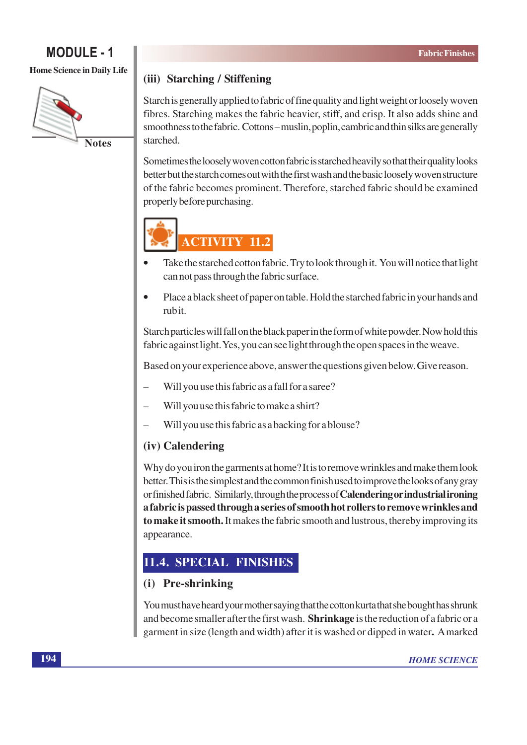#### **Home Science in Daily Life**



### (iii) Starching / Stiffening

Starch is generally applied to fabric of fine quality and light weight or loosely woven fibres. Starching makes the fabric heavier, stiff, and crisp. It also adds shine and smoothness to the fabric. Cottons-muslin, poplin, cambric and thin silks are generally starched.

Sometimes the loosely woven cotton fabric is starched heavily so that their quality looks better but the starch comes out with the first wash and the basic loosely woven structure of the fabric becomes prominent. Therefore, starched fabric should be examined properly before purchasing.



- Take the starched cotton fabric. Try to look through it. You will notice that light can not pass through the fabric surface.
- Place a black sheet of paper on table. Hold the starched fabric in your hands and  $\bullet$ rubit.

Starch particles will fall on the black paper in the form of white powder. Now hold this fabric against light. Yes, you can see light through the open spaces in the weave.

Based on your experience above, answer the questions given below. Give reason.

- Will you use this fabric as a fall for a saree?
- Will you use this fabric to make a shirt?
- Will you use this fabric as a backing for a blouse?

### (iv) Calendering

Why do you iron the garments at home? It is to remove wrinkles and make them look better. This is the simplest and the common finish used to improve the looks of any gray or finished fabric. Similarly, through the process of **Calendering or industrial ironing** a fabric is passed through a series of smooth hot rollers to remove wrinkles and to make it smooth. It makes the fabric smooth and lustrous, thereby improving its appearance.

### 11.4. SPECIAL FINISHES

### (i) Pre-shrinking

You must have heard your mother saying that the cotton kurta that she bought has shrunk and become smaller after the first wash. Shrinkage is the reduction of a fabric or a garment in size (length and width) after it is washed or dipped in water. A marked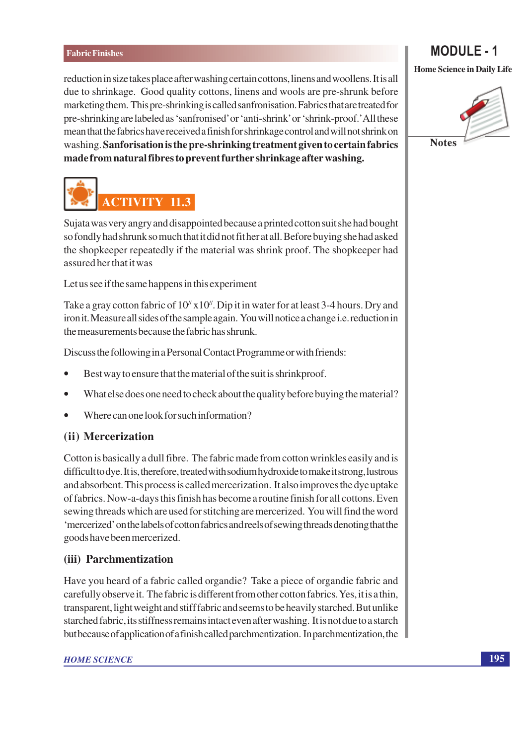reduction in size takes place after washing certain cottons, linens and woollens. It is all due to shrinkage. Good quality cottons, linens and wools are pre-shrunk before marketing them. This pre-shrinking is called sanfronisation. Fabrics that are treated for pre-shrinking are labeled as 'sanfronised' or 'anti-shrink' or 'shrink-proof.' All these mean that the fabrics have received a finish for shrinkage control and will not shrink on washing. Sanforisation is the pre-shrinking treatment given to certain fabrics made from natural fibres to prevent further shrinkage after washing.



**MODULE - 1** 



**ACTIVITY 11.3** 

Sujata was very angry and disappointed because a printed cotton suit she had bought so fondly had shrunk so much that it did not fit her at all. Before buying she had asked the shopkeeper repeatedly if the material was shrink proof. The shopkeeper had assured her that it was

Let us see if the same happens in this experiment

Take a gray cotton fabric of  $10^{\prime\prime}$  x  $10^{\prime\prime}$ . Dip it in water for at least 3-4 hours. Dry and iron it. Measure all sides of the sample again. You will notice a change i.e. reduction in the measurements because the fabric has shrunk.

Discuss the following in a Personal Contact Programme or with friends:

- Best way to ensure that the material of the suit is shrinkproof.  $\bullet$
- What else does one need to check about the quality before buying the material?
- Where can one look for such information?

### (ii) Mercerization

Cotton is basically a dull fibre. The fabric made from cotton wrinkles easily and is difficult to dye. It is, therefore, treated with sodium hydroxide to make it strong, lustrous and absorbent. This process is called mercerization. It also improves the dye uptake of fabrics. Now-a-days this finish has become a routine finish for all cottons. Even sewing threads which are used for stitching are mercerized. You will find the word 'mercerized' on the labels of cotton fabrics and reels of sewing threads denoting that the goods have been mercerized.

### (iii) Parchmentization

Have you heard of a fabric called organdie? Take a piece of organdie fabric and carefully observe it. The fabric is different from other cotton fabrics. Yes, it is a thin, transparent, light weight and stiff fabric and seems to be heavily starched. But unlike starched fabric, its stiffness remains intact even after washing. It is not due to a starch but because of application of a finish called parchmentization. In parchmentization, the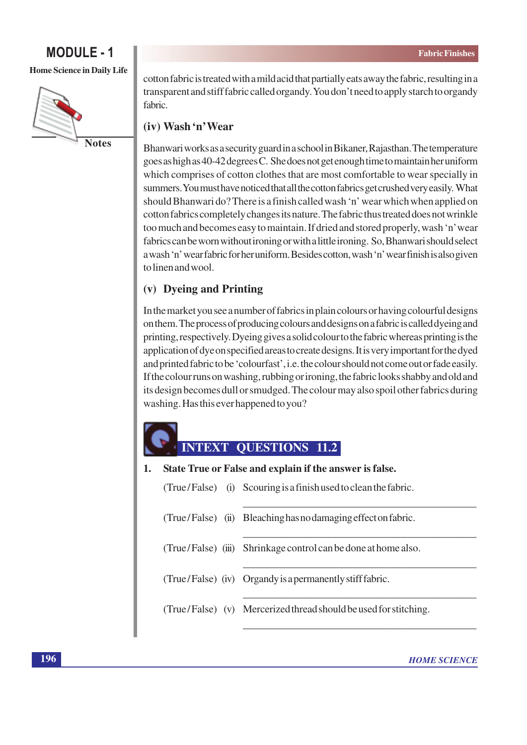**Home Science in Daily Life** 



cotton fabric is treated with a mild acid that partially eats away the fabric, resulting in a transparent and stiff fabric called organdy. You don't need to apply starch to organdy fabric.

### (iv) Wash 'n' Wear

Bhanwari works as a security guard in a school in Bikaner, Rajasthan. The temperature goes as high as 40-42 degrees C. She does not get enough time to maintain her uniform which comprises of cotton clothes that are most comfortable to wear specially in summers. You must have noticed that all the cotton fabrics get crushed very easily. What should Bhanwari do? There is a finish called wash 'n' wear which when applied on cotton fabrics completely changes its nature. The fabric thus treated does not wrinkle too much and becomes easy to maintain. If dried and stored properly, wash 'n' wear fabrics can be worn without ironing or with a little ironing. So, Bhanwari should select a wash 'n' wear fabric for her uniform. Besides cotton, wash 'n' wear finish is also given to linen and wool.

### (v) Dyeing and Printing

 $\blacksquare$ 

In the market you see a number of fabrics in plain colours or having colourful designs on them. The process of producing colours and designs on a fabric is called dyeing and printing, respectively. Dyeing gives a solid colour to the fabric whereas printing is the application of dye on specified areas to create designs. It is very important for the dyed and printed fabric to be 'colourfast', i.e. the colour should not come out or fade easily. If the colour runs on washing, rubbing or ironing, the fabric looks shabby and old and its design becomes dull or smudged. The colour may also spoil other fabrics during washing. Has this ever happened to you?

### **OUESTIONS**

| State True or False and explain if the answer is false. |                                                                  |  |  |
|---------------------------------------------------------|------------------------------------------------------------------|--|--|
|                                                         | (True/False) (i) Scouring is a finish used to clean the fabric.  |  |  |
|                                                         | (True/False) (ii) Bleaching has no damaging effect on fabric.    |  |  |
|                                                         | (True/False) (iii) Shrinkage control can be done at home also.   |  |  |
|                                                         | (True/False) (iv) Organdy is a permanently stiff fabric.         |  |  |
|                                                         | (True/False) (v) Mercerized thread should be used for stitching. |  |  |
|                                                         |                                                                  |  |  |

 $\ddot{\bullet}$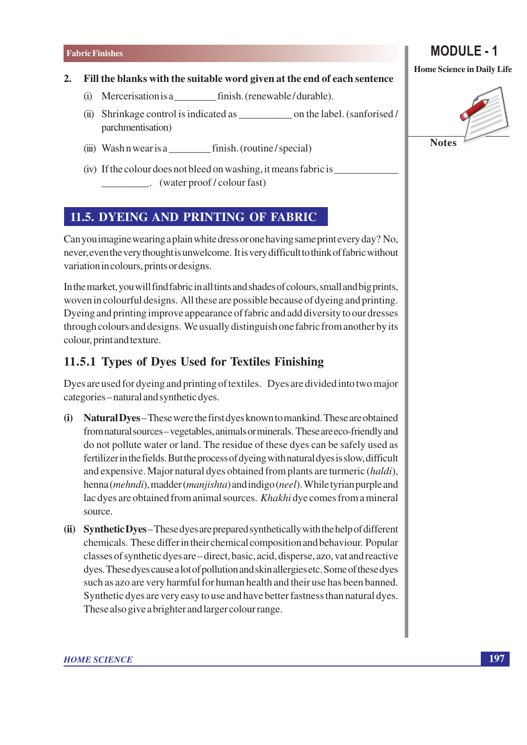#### Fill the blanks with the suitable word given at the end of each sentence  $2.$

- (i) Mercerisation is a finish. (renewable/durable).
- (ii) Shrinkage control is indicated as on the label. (sanforised/ parchmentisation)
- (iii) Wash n wear is a finish. (routine/special)
- (iv) If the colour does not bleed on washing, it means fabric is (water proof/colour fast)  $\mathcal{L}$

### 11.5. DYEING AND PRINTING OF FABRIC

Can you imagine wearing a plain white dress or one having same print every day? No, never, even the very thought is unwelcome. It is very difficult to think of fabric without variation in colours, prints or designs.

In the market, you will find fabric in all tints and shades of colours, small and big prints, woven in colourful designs. All these are possible because of dyeing and printing. Dyeing and printing improve appearance of fabric and add diversity to our dresses through colours and designs. We usually distinguish one fabric from another by its colour, print and texture.

### 11.5.1 Types of Dyes Used for Textiles Finishing

Dyes are used for dyeing and printing of textiles. Dyes are divided into two major categories-natural and synthetic dyes.

- (i) Natural Dyes-These were the first dyes known to mankind. These are obtained from natural sources – vegetables, animals or minerals. These are eco-friendly and do not pollute water or land. The residue of these dyes can be safely used as fertilizer in the fields. But the process of dyeing with natural dyes is slow, difficult and expensive. Major natural dyes obtained from plants are turmeric (haldi), henna (mehndi), madder (manjishta) and indigo (neel). While tyrian purple and lac dyes are obtained from animal sources. Khakhi dye comes from a mineral source.
- (ii) Synthetic Dyes-These dyes are prepared synthetically with the help of different chemicals. These differ in their chemical composition and behaviour. Popular classes of synthetic dyes are – direct, basic, acid, disperse, azo, vat and reactive dyes. These dyes cause a lot of pollution and skin allergies etc. Some of these dyes such as azo are very harmful for human health and their use has been banned. Synthetic dyes are very easy to use and have better fastness than natural dyes. These also give a brighter and larger colour range.

### **Home Science in Daily Life**

**MODULE - 1** 

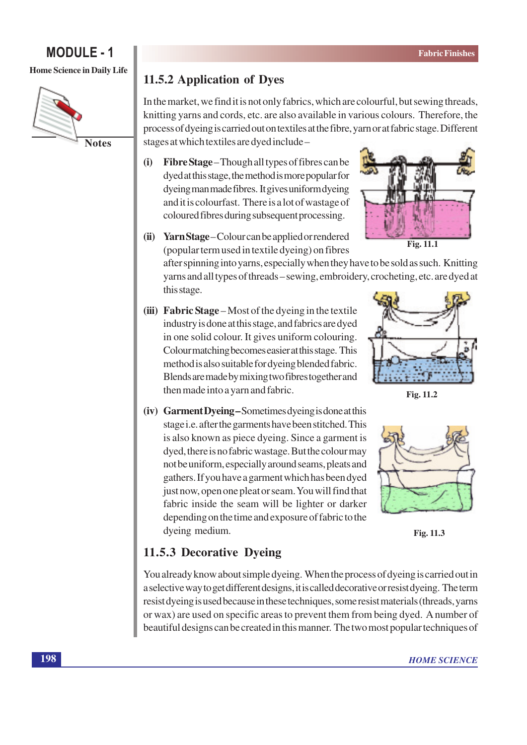#### **Home Science in Daily Life**



### 11.5.2 Application of Dyes

In the market, we find it is not only fabrics, which are colourful, but sewing threads, knitting yarns and cords, etc. are also available in various colours. Therefore, the process of dyeing is carried out on textiles at the fibre, yarn or at fabric stage. Different stages at which textiles are dyed include -

 $(i)$ Fibre Stage – Though all types of fibres can be dyed at this stage, the method is more popular for dyeing man made fibres. It gives uniform dyeing and it is colourfast. There is a lot of wastage of coloured fibres during subsequent processing.



Fig. 11.1

(ii) Yarn Stage – Colour can be applied or rendered (popular term used in textile dyeing) on fibres

> after spinning into yarns, especially when they have to be sold as such. Knitting yarns and all types of threads – sewing, embroidery, crocheting, etc. are dyed at this stage.

(iii) Fabric Stage – Most of the dyeing in the textile industry is done at this stage, and fabrics are dyed in one solid colour. It gives uniform colouring. Colour matching becomes easier at this stage. This method is also suitable for dyeing blended fabric. Blends are made by mixing two fibres together and then made into a yarn and fabric.



Fig. 11.2

(iv) Garment Dyeing-Sometimes dyeing is done at this stage i.e. after the garments have been stitched. This is also known as piece dyeing. Since a garment is dyed, there is no fabric wastage. But the colour may not be uniform, especially around seams, pleats and gathers. If you have a garment which has been dyed just now, open one pleat or seam. You will find that fabric inside the seam will be lighter or darker depending on the time and exposure of fabric to the dyeing medium.



Fig. 11.3

### 11.5.3 Decorative Dyeing

You already know about simple dyeing. When the process of dyeing is carried out in a selective way to get different designs, it is called decorative or resist dyeing. The term resist dyeing is used because in these techniques, some resist materials (threads, yarns or wax) are used on specific areas to prevent them from being dyed. A number of beautiful designs can be created in this manner. The two most popular techniques of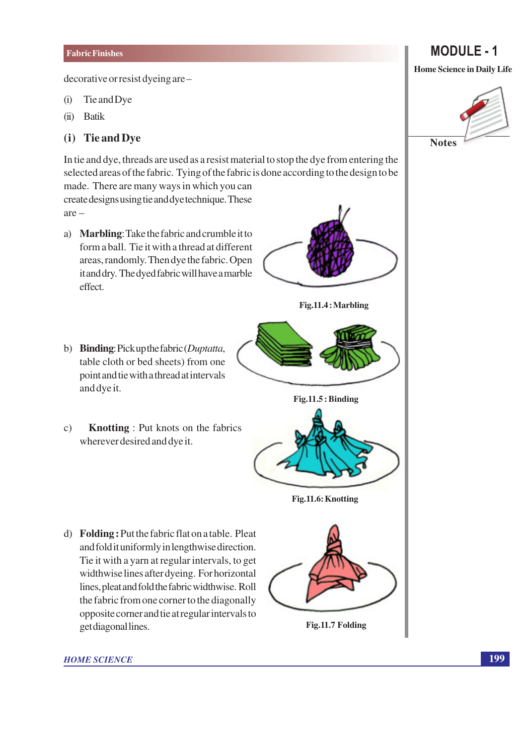decorative or resist dyeing are -

- Tie and Dye  $(i)$
- **Batik**  $(ii)$

#### (i) Tie and Dye

In tie and dye, threads are used as a resist material to stop the dye from entering the selected areas of the fabric. Tying of the fabric is done according to the design to be made. There are many ways in which you can create designs using tie and dye technique. These  $are -$ 

- a) Marbling: Take the fabric and crumble it to form a ball. Tie it with a thread at different areas, randomly. Then dye the fabric. Open it and dry. The dyed fabric will have a marble effect.
- b) Binding: Pick up the fabric (Duptatta, table cloth or bed sheets) from one point and tie with a thread at intervals and dye it.
- $\mathbf{c})$ **Knotting**: Put knots on the fabrics wherever desired and dye it.

d) Folding: Put the fabric flat on a table. Pleat and fold it uniformly in lengthwise direction. Tie it with a yarn at regular intervals, to get widthwise lines after dyeing. For horizontal lines, pleat and fold the fabric widthwise. Roll the fabric from one corner to the diagonally opposite corner and tie at regular intervals to get diagonal lines.





Fig.11.5: Binding



Fig.11.6: Knotting

![](_page_10_Picture_15.jpeg)

Fig.11.7 Folding

**HOME SCIENCE** 

### **MODULE - 1**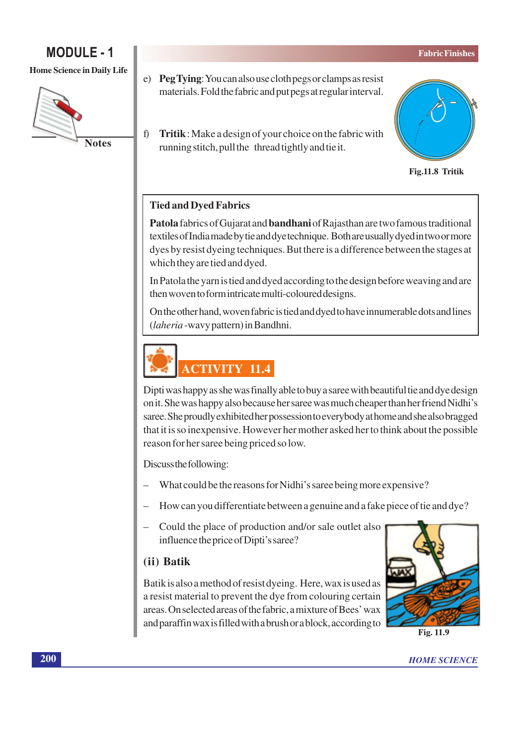### **MODULE - 1**

#### **Home Science in Daily Life**

![](_page_11_Picture_3.jpeg)

- e) Peg Tying: You can also use cloth pegs or clamps as resist materials. Fold the fabric and put pegs at regular interval.
- $\hat{D}$ Tritik: Make a design of your choice on the fabric with running stitch, pull the thread tightly and tie it.

![](_page_11_Picture_6.jpeg)

Fig.11.8 Tritik

#### **Tied and Dyed Fabrics**

Patola fabrics of Gujarat and bandhani of Rajasthan are two famous traditional textiles of India made by tie and dye technique. Both are usually dyed in two or more dyes by resist dyeing techniques. But there is a difference between the stages at which they are tied and dyed.

In Patola the yarn is tied and dyed according to the design before weaving and are then woven to form intricate multi-coloured designs.

On the other hand, woven fabric is tied and dyed to have innumerable dots and lines (laheria-wavy pattern) in Bandhni.

![](_page_11_Picture_12.jpeg)

Dipti was happy as she was finally able to buy a saree with beautiful tie and dye design on it. She was happy also because her saree was much cheaper than her friend Nidhi's saree. She proudly exhibited her possession to everybody at home and she also bragged that it is so inexpensive. However her mother asked her to think about the possible reason for her saree being priced so low.

Discuss the following:

- What could be the reasons for Nidhi's saree being more expensive?
- How can you differentiate between a genuine and a fake piece of tie and dye?
- Could the place of production and/or sale outlet also influence the price of Dipti's saree?

### (ii) Batik

Batik is also a method of resist dyeing. Here, wax is used as a resist material to prevent the dye from colouring certain areas. On selected areas of the fabric, a mixture of Bees' wax and paraffin wax is filled with a brush or a block, according to

![](_page_11_Picture_20.jpeg)

Fig. 11.9

**HOME SCIENCE**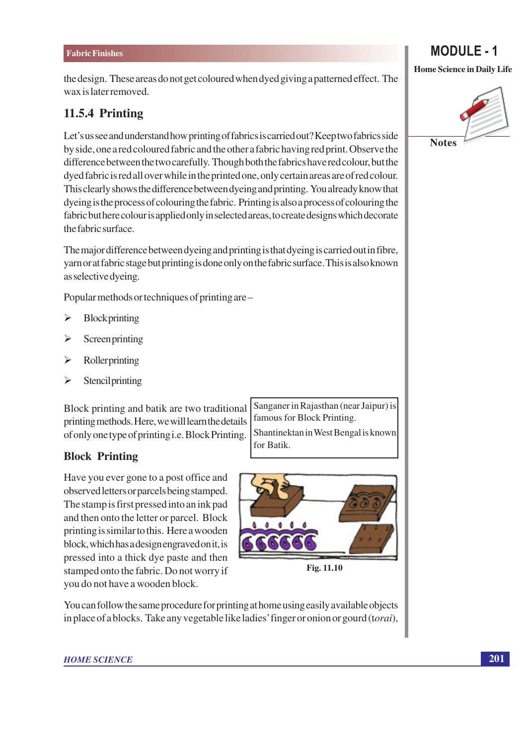the design. These areas do not get coloured when dyed giving a patterned effect. The wax is later removed.

### 11.5.4 Printing

Let's us see and understand how printing of fabrics is carried out? Keep two fabrics side by side, one a red coloured fabric and the other a fabric having red print. Observe the difference between the two carefully. Though both the fabrics have red colour, but the dyed fabric is red all over while in the printed one, only certain areas are of red colour. This clearly shows the difference between dyeing and printing. You already know that dyeing is the process of colouring the fabric. Printing is also a process of colouring the fabric but here colour is applied only in selected areas, to create designs which decorate the fabric surface.

The major difference between dyeing and printing is that dyeing is carried out in fibre, yarn or at fabric stage but printing is done only on the fabric surface. This is also known as selective dyeing.

Popular methods or techniques of printing are –

- $\blacktriangleright$ Blockprinting
- Screenprinting  $\blacktriangleright$
- $\blacktriangleright$ Rollerprinting
- $\blacktriangleright$ **Stencil printing**

Block printing and batik are two traditional printing methods. Here, we will learn the details of only one type of printing i.e. Block Printing.

#### **Block Printing**

Have you ever gone to a post office and observed letters or parcels being stamped. The stamp is first pressed into an ink pad and then onto the letter or parcel. Block printing is similar to this. Here a wooden block, which has a design engraved on it, is pressed into a thick dye paste and then stamped onto the fabric. Do not worry if you do not have a wooden block.

Sanganer in Rajasthan (near Jaipur) is famous for Block Printing. Shantinektan in West Bengal is known for Batik.

![](_page_12_Picture_14.jpeg)

Fig. 11.10

You can follow the same procedure for printing at home using easily available objects in place of a blocks. Take any vegetable like ladies' finger or onion or gourd (torai),

![](_page_12_Picture_18.jpeg)

**MODULE - 1**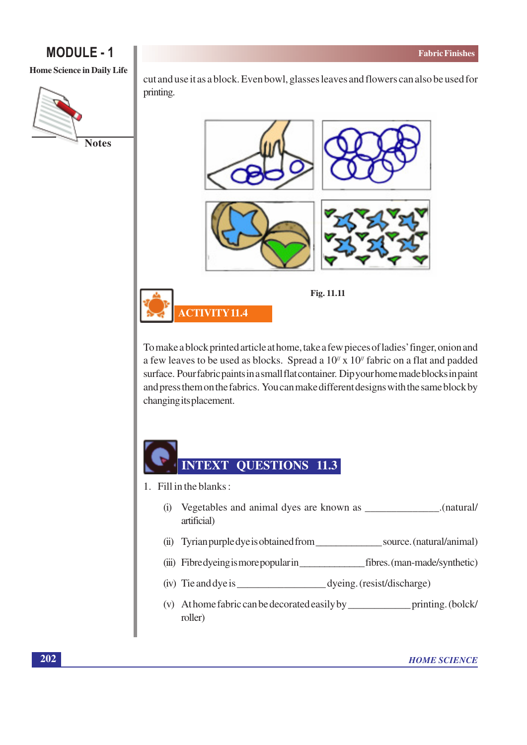#### **Home Science in Daily Life**

![](_page_13_Picture_3.jpeg)

cut and use it as a block. Even bowl, glasses leaves and flowers can also be used for printing.

![](_page_13_Figure_5.jpeg)

To make a block printed article at home, take a few pieces of ladies' finger, onion and a few leaves to be used as blocks. Spread a  $10<sup>\prime</sup>$  x  $10<sup>\prime</sup>$  fabric on a flat and padded surface. Pour fabric paints in a small flat container. Dip your home made blocks in paint and press them on the fabrics. You can make different designs with the same block by changing its placement.

![](_page_13_Picture_7.jpeg)

- 1. Fill in the blanks:
	- (i) Vegetables and animal dyes are known as \_\_\_\_\_\_\_\_\_\_\_\_\_\_.(natural/ artificial)
	- (ii) Tyrian purple dye is obtained from source. (natural/animal)
	-
	-
	- roller)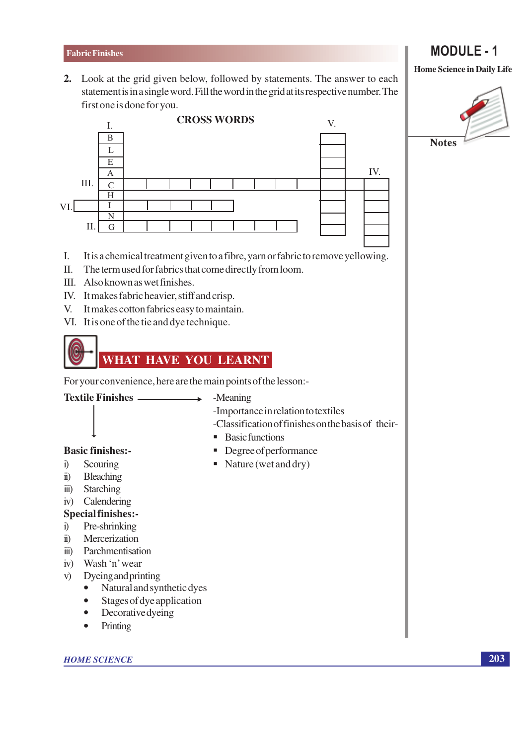2. Look at the grid given below, followed by statements. The answer to each statement is in a single word. Fill the word in the grid at its respective number. The first one is done for you.

![](_page_14_Figure_2.jpeg)

- I. It is a chemical treatment given to a fibre, yarn or fabric to remove yellowing.
- The term used for fabrics that come directly from loom.  $\Pi$ .
- III. Also known as wet finishes.
- IV. It makes fabric heavier, stiff and crisp.
- $V_{\cdot}$ It makes cotton fabrics easy to maintain.
- VI. It is one of the tie and dye technique.

![](_page_14_Picture_9.jpeg)

For your convenience, here are the main points of the lesson:-

**Textile Finishes -**-Meaning

 $\blacksquare$  Degree of performance  $\blacksquare$  Nature (wet and dry)

- -Importance in relation to textiles
- -Classification of finishes on the basis of their-• Basic functions

- **Basic finishes:-**
- $i)$ Scouring
- Bleaching  $\ddot{\mathbf{n}}$
- Starching  $\dddot{\mathbf{m}}$ )
- iv) Calendering

### **Special finishes:-**

- Pre-shrinking  $i)$
- $\ddot{\mathbf{n}}$ Mercerization
- iii) Parchmentisation
- iv) Wash 'n' wear
- Dyeing and printing  $V)$ 
	- Natural and synthetic dyes  $\bullet$
	- $\bullet$ Stages of dye application
	- $\bullet$ **Decorative dyeing**
	- Printing  $\bullet$

**HOME SCIENCE** 

## **MODULE - 1**

![](_page_14_Picture_33.jpeg)